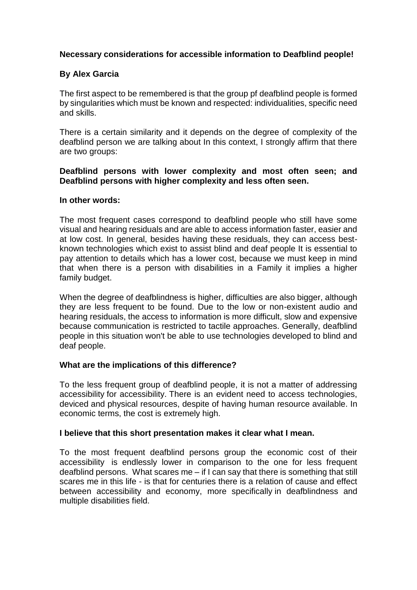## **Necessary considerations for accessible information to Deafblind people!**

# **By Alex Garcia**

The first aspect to be remembered is that the group pf deafblind people is formed by singularities which must be known and respected: individualities, specific need and skills.

There is a certain similarity and it depends on the degree of complexity of the deafblind person we are talking about In this context, I strongly affirm that there are two groups:

## **Deafblind persons with lower complexity and most often seen; and Deafblind persons with higher complexity and less often seen.**

### **In other words:**

The most frequent cases correspond to deafblind people who still have some visual and hearing residuals and are able to access information faster, easier and at low cost. In general, besides having these residuals, they can access bestknown technologies which exist to assist blind and deaf people It is essential to pay attention to details which has a lower cost, because we must keep in mind that when there is a person with disabilities in a Family it implies a higher family budget.

When the degree of deafblindness is higher, difficulties are also bigger, although they are less frequent to be found. Due to the low or non-existent audio and hearing residuals, the access to information is more difficult, slow and expensive because communication is restricted to tactile approaches. Generally, deafblind people in this situation won't be able to use technologies developed to blind and deaf people.

## **What are the implications of this difference?**

To the less frequent group of deafblind people, it is not a matter of addressing accessibility for accessibility. There is an evident need to access technologies, deviced and physical resources, despite of having human resource available. In economic terms, the cost is extremely high.

### **I believe that this short presentation makes it clear what I mean.**

To the most frequent deafblind persons group the economic cost of their accessibility is endlessly lower in comparison to the one for less frequent deafblind persons. What scares me – if I can say that there is something that still scares me in this life - is that for centuries there is a relation of cause and effect between accessibility and economy, more specifically in deafblindness and multiple disabilities field.